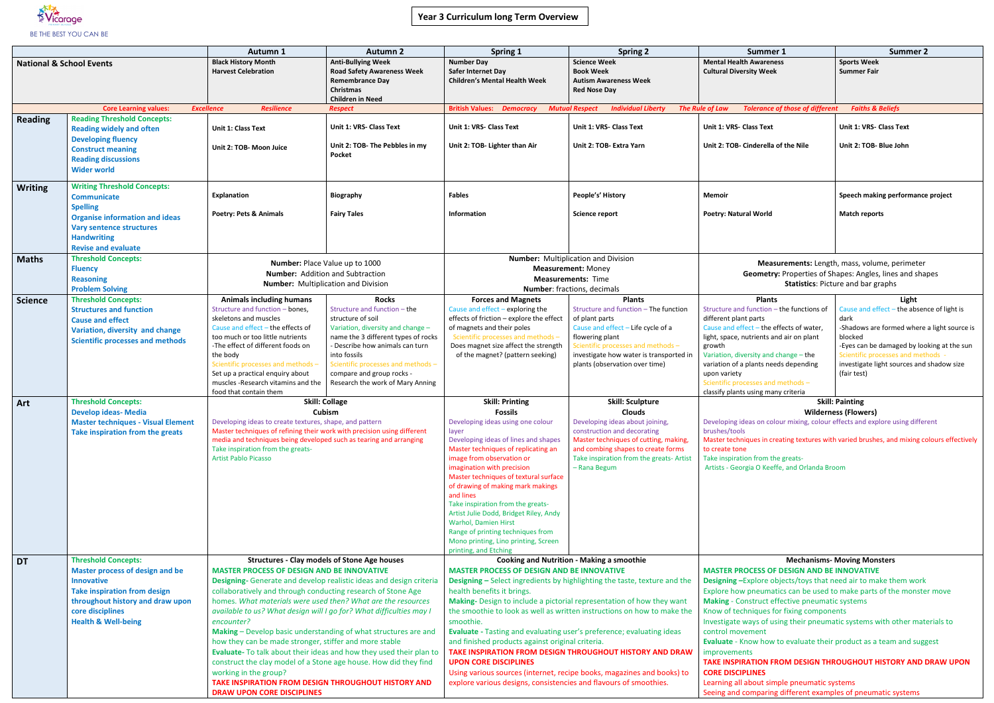# **Year 3 Curriculum long Term Overview**



|                                     |                                                                                                                                                                                                                            | Autumn 1                                                                                                                                                                                                                                                                                                                                                                                                                                                                                                                                                                                                                                                                                                                                                                                          | <b>Autumn 2</b>                                                                                                                                                                                                                                                                                         | Spring 1                                                                                                                                                                                                                                                                                                                                                                                                                                                                                                                                                                                                                                                                                                                                                         | <b>Spring 2</b>                                                                                                                                                                                                                                      | Summer 1                                                                                                                                                                                                                                                                                                                                                                                                                                                                                                                                                                                                                                                                                                                                  | <b>Summer 2</b>                                                                                                                                                                                                                                                       |  |
|-------------------------------------|----------------------------------------------------------------------------------------------------------------------------------------------------------------------------------------------------------------------------|---------------------------------------------------------------------------------------------------------------------------------------------------------------------------------------------------------------------------------------------------------------------------------------------------------------------------------------------------------------------------------------------------------------------------------------------------------------------------------------------------------------------------------------------------------------------------------------------------------------------------------------------------------------------------------------------------------------------------------------------------------------------------------------------------|---------------------------------------------------------------------------------------------------------------------------------------------------------------------------------------------------------------------------------------------------------------------------------------------------------|------------------------------------------------------------------------------------------------------------------------------------------------------------------------------------------------------------------------------------------------------------------------------------------------------------------------------------------------------------------------------------------------------------------------------------------------------------------------------------------------------------------------------------------------------------------------------------------------------------------------------------------------------------------------------------------------------------------------------------------------------------------|------------------------------------------------------------------------------------------------------------------------------------------------------------------------------------------------------------------------------------------------------|-------------------------------------------------------------------------------------------------------------------------------------------------------------------------------------------------------------------------------------------------------------------------------------------------------------------------------------------------------------------------------------------------------------------------------------------------------------------------------------------------------------------------------------------------------------------------------------------------------------------------------------------------------------------------------------------------------------------------------------------|-----------------------------------------------------------------------------------------------------------------------------------------------------------------------------------------------------------------------------------------------------------------------|--|
| <b>National &amp; School Events</b> |                                                                                                                                                                                                                            | <b>Black History Month</b><br><b>Harvest Celebration</b>                                                                                                                                                                                                                                                                                                                                                                                                                                                                                                                                                                                                                                                                                                                                          | <b>Anti-Bullying Week</b><br><b>Road Safety Awareness Week</b><br><b>Remembrance Day</b><br><b>Christmas</b><br><b>Children in Need</b>                                                                                                                                                                 | <b>Number Day</b><br>Safer Internet Day<br><b>Children's Mental Health Week</b>                                                                                                                                                                                                                                                                                                                                                                                                                                                                                                                                                                                                                                                                                  | <b>Science Week</b><br><b>Book Week</b><br><b>Autism Awareness Week</b><br><b>Red Nose Day</b>                                                                                                                                                       | <b>Mental Health Awareness</b><br><b>Cultural Diversity Week</b>                                                                                                                                                                                                                                                                                                                                                                                                                                                                                                                                                                                                                                                                          | <b>Sports Week</b><br><b>Summer Fair</b>                                                                                                                                                                                                                              |  |
|                                     | <b>Core Learning values:</b>                                                                                                                                                                                               | <b>Excellence</b><br><b>Resilience</b>                                                                                                                                                                                                                                                                                                                                                                                                                                                                                                                                                                                                                                                                                                                                                            | <b>Respect</b>                                                                                                                                                                                                                                                                                          | <b>British Values: Democracy</b>                                                                                                                                                                                                                                                                                                                                                                                                                                                                                                                                                                                                                                                                                                                                 | <b>Individual Liberty</b><br><b>Mutual Respect</b>                                                                                                                                                                                                   | <b>Tolerance of those of different</b><br><b>The Rule of Law</b>                                                                                                                                                                                                                                                                                                                                                                                                                                                                                                                                                                                                                                                                          | <b>Faiths &amp; Beliefs</b>                                                                                                                                                                                                                                           |  |
| <b>Reading</b>                      | <b>Reading Threshold Concepts:</b><br><b>Reading widely and often</b><br><b>Developing fluency</b><br><b>Construct meaning</b><br><b>Reading discussions</b><br><b>Wider world</b>                                         | Unit 1: Class Text<br>Unit 2: TOB- Moon Juice                                                                                                                                                                                                                                                                                                                                                                                                                                                                                                                                                                                                                                                                                                                                                     | Unit 1: VRS- Class Text<br>Unit 2: TOB- The Pebbles in my<br>Pocket                                                                                                                                                                                                                                     | Unit 1: VRS- Class Text<br>Unit 2: TOB- Lighter than Air                                                                                                                                                                                                                                                                                                                                                                                                                                                                                                                                                                                                                                                                                                         | Unit 1: VRS- Class Text<br>Unit 2: TOB- Extra Yarn                                                                                                                                                                                                   | Unit 1: VRS- Class Text<br>Unit 2: TOB- Cinderella of the Nile                                                                                                                                                                                                                                                                                                                                                                                                                                                                                                                                                                                                                                                                            | Unit 1: VRS- Class Text<br>Unit 2: TOB- Blue John                                                                                                                                                                                                                     |  |
| <b>Writing</b>                      | <b>Writing Threshold Concepts:</b><br><b>Communicate</b><br><b>Spelling</b><br><b>Organise information and ideas</b><br><b>Vary sentence structures</b><br><b>Handwriting</b><br><b>Revise and evaluate</b>                | Explanation<br>Poetry: Pets & Animals                                                                                                                                                                                                                                                                                                                                                                                                                                                                                                                                                                                                                                                                                                                                                             | <b>Biography</b><br><b>Fairy Tales</b>                                                                                                                                                                                                                                                                  | <b>Fables</b><br><b>Information</b>                                                                                                                                                                                                                                                                                                                                                                                                                                                                                                                                                                                                                                                                                                                              | People's' History<br><b>Science report</b>                                                                                                                                                                                                           | <b>Memoir</b><br><b>Poetry: Natural World</b>                                                                                                                                                                                                                                                                                                                                                                                                                                                                                                                                                                                                                                                                                             | Speech making performance project<br><b>Match reports</b>                                                                                                                                                                                                             |  |
| <b>Maths</b>                        | <b>Threshold Concepts:</b><br><b>Fluency</b><br><b>Reasoning</b><br><b>Problem Solving</b>                                                                                                                                 | Number: Place Value up to 1000<br><b>Number:</b> Addition and Subtraction<br><b>Number:</b> Multiplication and Division                                                                                                                                                                                                                                                                                                                                                                                                                                                                                                                                                                                                                                                                           |                                                                                                                                                                                                                                                                                                         | <b>Number:</b> Multiplication and Division<br><b>Measurement: Money</b><br><b>Measurements: Time</b><br>Number: fractions, decimals                                                                                                                                                                                                                                                                                                                                                                                                                                                                                                                                                                                                                              |                                                                                                                                                                                                                                                      | Measurements: Length, mass, volume, perimeter<br><b>Geometry: Properties of Shapes: Angles, lines and shapes</b><br><b>Statistics: Picture and bar graphs</b>                                                                                                                                                                                                                                                                                                                                                                                                                                                                                                                                                                             |                                                                                                                                                                                                                                                                       |  |
| <b>Science</b>                      | <b>Threshold Concepts:</b><br><b>Structures and function</b><br><b>Cause and effect</b><br>Variation, diversity and change<br><b>Scientific processes and methods</b>                                                      | <b>Animals including humans</b><br>Structure and function - bones,<br>skeletons and muscles<br>Cause and effect - the effects of<br>too much or too little nutrients<br>-The effect of different foods on<br>the body<br>Scientific processes and methods<br>Set up a practical enquiry about<br>muscles -Research vitamins and the<br>food that contain them                                                                                                                                                                                                                                                                                                                                                                                                                                     | <b>Rocks</b><br>Structure and function - the<br>structure of soil<br>Variation, diversity and change -<br>name the 3 different types of rocks<br>- Describe how animals can turn<br>into fossils<br>Scientific processes and methods -<br>compare and group rocks -<br>Research the work of Mary Anning | <b>Forces and Magnets</b><br>Cause and effect - exploring the<br>effects of friction - explore the effect<br>of magnets and their poles<br>Scientific processes and methods -<br>Does magnet size affect the strength<br>of the magnet? (pattern seeking)                                                                                                                                                                                                                                                                                                                                                                                                                                                                                                        | <b>Plants</b><br>Structure and function - The function<br>of plant parts<br>Cause and effect - Life cycle of a<br>flowering plant<br>Scientific processes and methods -<br>investigate how water is transported in<br>plants (observation over time) | <b>Plants</b><br>Structure and function - the functions of<br>different plant parts<br>Cause and effect - the effects of water,<br>light, space, nutrients and air on plant<br>growth<br>Variation, diversity and change - the<br>variation of a plants needs depending<br>upon variety<br>Scientific processes and methods -<br>classify plants using many criteria                                                                                                                                                                                                                                                                                                                                                                      | Light<br>Cause and effect - the absence of light is<br>dark<br>-Shadows are formed where a light source is<br>blocked<br>-Eyes can be damaged by looking at the sun<br>Scientific processes and methods -<br>investigate light sources and shadow size<br>(fair test) |  |
| Art                                 | <b>Threshold Concepts:</b><br><b>Develop ideas- Media</b><br><b>Master techniques - Visual Element</b><br>Take inspiration from the greats                                                                                 | Developing ideas to create textures, shape, and pattern<br>Master techniques of refining their work with precision using different<br>media and techniques being developed such as tearing and arranging<br>Take inspiration from the greats-<br><b>Artist Pablo Picasso</b>                                                                                                                                                                                                                                                                                                                                                                                                                                                                                                                      | <b>Skill: Collage</b><br><b>Cubism</b>                                                                                                                                                                                                                                                                  | <b>Skill: Printing</b><br><b>Fossils</b><br>Developing ideas using one colour<br>layer<br>Developing ideas of lines and shapes<br>Master techniques of replicating an<br>image from observation or<br>imagination with precision<br>Master techniques of textural surface<br>of drawing of making mark makings<br>and lines<br>Take inspiration from the greats-<br>Artist Julie Dodd, Bridget Riley, Andy<br><b>Warhol, Damien Hirst</b><br>Range of printing techniques from<br>Mono printing, Lino printing, Screen<br>printing, and Etching                                                                                                                                                                                                                  | <b>Skill: Sculpture</b><br><b>Clouds</b><br>Developing ideas about joining,<br>construction and decorating<br>Master techniques of cutting, making<br>and combing shapes to create forms<br>Take inspiration from the greats- Artist<br>- Rana Begum | <b>Skill: Painting</b><br><b>Wilderness (Flowers)</b><br>Developing ideas on colour mixing, colour effects and explore using different<br>brushes/tools<br>Master techniques in creating textures with varied brushes, and mixing colours effectively<br>to create tone<br>Take inspiration from the greats-<br>Artists - Georgia O Keeffe, and Orlanda Broom                                                                                                                                                                                                                                                                                                                                                                             |                                                                                                                                                                                                                                                                       |  |
| <b>DT</b>                           | <b>Threshold Concepts:</b><br><b>Master process of design and be</b><br><b>Innovative</b><br><b>Take inspiration from design</b><br>throughout history and draw upon<br>core disciplines<br><b>Health &amp; Well-being</b> | <b>Structures - Clay models of Stone Age houses</b><br><b>MASTER PROCESS OF DESIGN AND BE INNOVATIVE</b><br>Designing- Generate and develop realistic ideas and design criteria<br>collaboratively and through conducting research of Stone Age<br>homes. What materials were used then? What are the resources<br>available to us? What design will I go for? What difficulties may I<br>encounter?<br>Making - Develop basic understanding of what structures are and<br>how they can be made stronger, stiffer and more stable<br>Evaluate- To talk about their ideas and how they used their plan to<br>construct the clay model of a Stone age house. How did they find<br>working in the group?<br>TAKE INSPIRATION FROM DESIGN THROUGHOUT HISTORY AND<br><b>DRAW UPON CORE DISCIPLINES</b> |                                                                                                                                                                                                                                                                                                         | <b>Cooking and Nutrition - Making a smoothie</b><br><b>MASTER PROCESS OF DESIGN AND BE INNOVATIVE</b><br><b>Designing - Select ingredients by highlighting the taste, texture and the</b><br>health benefits it brings.<br>Making- Design to include a pictorial representation of how they want<br>the smoothie to look as well as written instructions on how to make the<br>smoothie.<br>Evaluate - Tasting and evaluating user's preference; evaluating ideas<br>and finished products against original criteria.<br>TAKE INSPIRATION FROM DESIGN THROUGHOUT HISTORY AND DRAW<br><b>UPON CORE DISCIPLINES</b><br>Using various sources (internet, recipe books, magazines and books) to<br>explore various designs, consistencies and flavours of smoothies. |                                                                                                                                                                                                                                                      | <b>Mechanisms- Moving Monsters</b><br><b>MASTER PROCESS OF DESIGN AND BE INNOVATIVE</b><br><b>Designing-Explore objects/toys that need air to make them work</b><br>Explore how pneumatics can be used to make parts of the monster move<br>Making - Construct effective pneumatic systems<br>Know of techniques for fixing components<br>Investigate ways of using their pneumatic systems with other materials to<br>control movement<br>Evaluate - Know how to evaluate their product as a team and suggest<br>improvements<br>TAKE INSPIRATION FROM DESIGN THROUGHOUT HISTORY AND DRAW UPON<br><b>CORE DISCIPLINES</b><br>Learning all about simple pneumatic systems<br>Seeing and comparing different examples of pneumatic systems |                                                                                                                                                                                                                                                                       |  |

- 
- 
- 
- 
- 
- 
- 
- 
- 
-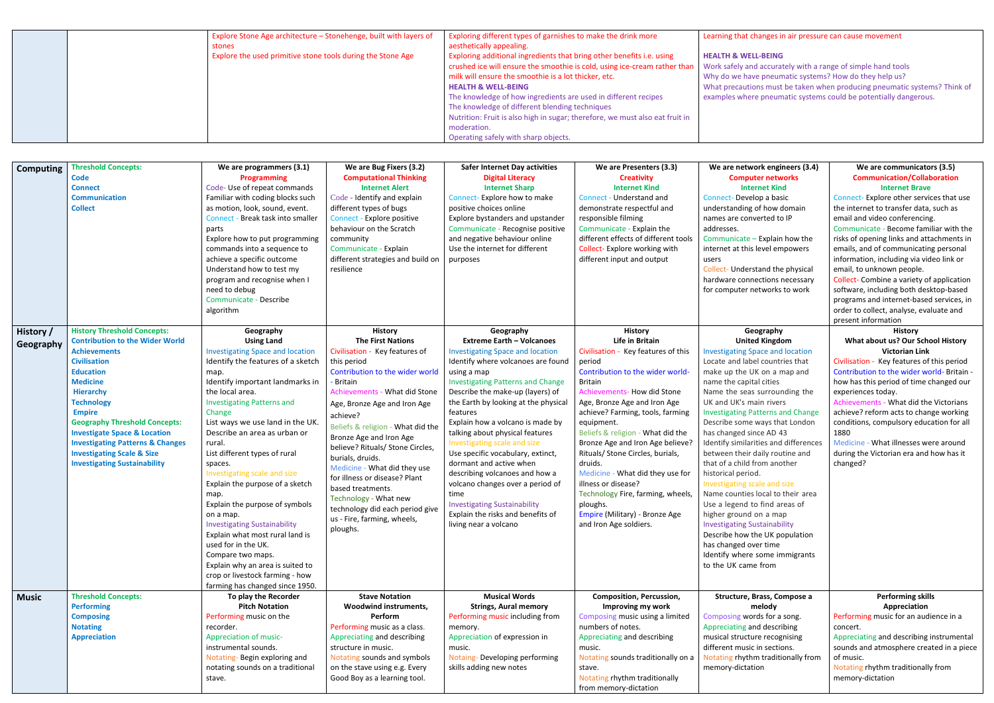|  | Explore Stone Age architecture - Stonehenge, built with layers of | Exploring different types of garnishes to make the drink more                | Learning that c         |
|--|-------------------------------------------------------------------|------------------------------------------------------------------------------|-------------------------|
|  | stones                                                            | aesthetically appealing.                                                     |                         |
|  | Explore the used primitive stone tools during the Stone Age       | Exploring additional ingredients that bring other benefits i.e. using        | <b>HEALTH &amp; WEL</b> |
|  |                                                                   | crushed ice will ensure the smoothie is cold, using ice-cream rather than    | Work safely and         |
|  |                                                                   | milk will ensure the smoothie is a lot thicker, etc.                         | Why do we hav           |
|  |                                                                   | <b>HEALTH &amp; WELL-BEING</b>                                               | What precautic          |
|  |                                                                   | The knowledge of how ingredients are used in different recipes               | examples wher           |
|  |                                                                   | The knowledge of different blending techniques                               |                         |
|  |                                                                   | Nutrition: Fruit is also high in sugar; therefore, we must also eat fruit in |                         |
|  |                                                                   | moderation.                                                                  |                         |
|  |                                                                   | Operating safely with sharp objects.                                         |                         |

- ons must be taken when producing pneumatic systems? Think of re pneumatic systems could be potentially dangerous.
- **We are network engineers (3.4) Computer networks Internet Kind** elop a basic g of how domain nverted to IP  $-$  Explain how the is level empowers rstand the physical nections necessary networks to work **We are communicators (3.5) Communication/Collaboration Internet Brave** Connect- Explore other services that use the internet to transfer data, such as email and video conferencing. Communicate - Become familiar with the risks of opening links and attachments in emails, and of communicating personal information, including via video link or email, to unknown people. Collect- Combine a variety of application software, including both desktop-based programs and internet-based services, in order to collect, analyse, evaluate and present information **Geography United Kingdom Investigate and location** bel countries that UK on a map and oital cities as surrounding the nain rivers Patterns and Change e ways that London ince AD 43 arities and differences daily routine and I from another iod. scale and size es local to their area to find areas of on a map Sustainability the UK population over time re some immigrants ne from **History What about us? Our School History Victorian Link** Civilisation - Key features of this period Contribution to the wider world- Britain how has this period of time changed our experiences today. Achievements - What did the Victorians achieve? reform acts to change working conditions, compulsory education for all 1880 Medicine - What illnesses were around during the Victorian era and how has it changed? **Brass, Compose a melody** ords for a song. and describing ture recognising sic in sections. thm traditionally from ation **Performing skills Appreciation** Performing music for an audience in a concert. Appreciating and describing instrumental sounds and atmosphere created in a piece of music. Notating rhythm traditionally from memory-dictation

| <b>Computing</b>       | <b>Threshold Concepts:</b><br>Code<br><b>Connect</b><br><b>Communication</b><br><b>Collect</b>                                                                                                                                                                                                                                                                                                                                                | We are programmers (3.1)<br><b>Programming</b><br>Code-Use of repeat commands<br>Familiar with coding blocks such<br>as motion, look, sound, event.<br>Connect - Break task into smaller<br>parts<br>Explore how to put programming<br>commands into a sequence to<br>achieve a specific outcome<br>Understand how to test my<br>program and recognise when I<br>need to debug<br>Communicate - Describe<br>algorithm                                                                                                                                                                                                                                                                                           | We are Bug Fixers (3.2)<br><b>Computational Thinking</b><br><b>Internet Alert</b><br>Code - Identify and explain<br>different types of bugs<br>Connect - Explore positive<br>behaviour on the Scratch<br>community<br>Communicate - Explain<br>different strategies and build on<br>resilience                                                                                                                                                                                                                                                     | <b>Safer Internet Day activities</b><br><b>Digital Literacy</b><br><b>Internet Sharp</b><br>Connect-Explore how to make<br>positive choices online<br>Explore bystanders and upstander<br>Communicate - Recognise positive<br>and negative behaviour online<br>Use the internet for different<br>purposes                                                                                                                                                                                                                                                                                                                                   | We are Presenters (3.3)<br><b>Creativity</b><br><b>Internet Kind</b><br>Connect - Understand and<br>demonstrate respectful and<br>responsible filming<br>Communicate - Explain the<br>different effects of different tools<br>Collect-Explore working with<br>different input and output                                                                                                                                                                                                                                                                         | We are netv<br>Comp<br>Int<br><b>Connect-Deve</b><br>understanding<br>names are cor<br>addresses.<br>Communicate<br>internet at thi<br>users<br>Collect-Under<br>hardware con<br>for computer                                                                                                                                                                                                                                    |
|------------------------|-----------------------------------------------------------------------------------------------------------------------------------------------------------------------------------------------------------------------------------------------------------------------------------------------------------------------------------------------------------------------------------------------------------------------------------------------|-----------------------------------------------------------------------------------------------------------------------------------------------------------------------------------------------------------------------------------------------------------------------------------------------------------------------------------------------------------------------------------------------------------------------------------------------------------------------------------------------------------------------------------------------------------------------------------------------------------------------------------------------------------------------------------------------------------------|----------------------------------------------------------------------------------------------------------------------------------------------------------------------------------------------------------------------------------------------------------------------------------------------------------------------------------------------------------------------------------------------------------------------------------------------------------------------------------------------------------------------------------------------------|---------------------------------------------------------------------------------------------------------------------------------------------------------------------------------------------------------------------------------------------------------------------------------------------------------------------------------------------------------------------------------------------------------------------------------------------------------------------------------------------------------------------------------------------------------------------------------------------------------------------------------------------|------------------------------------------------------------------------------------------------------------------------------------------------------------------------------------------------------------------------------------------------------------------------------------------------------------------------------------------------------------------------------------------------------------------------------------------------------------------------------------------------------------------------------------------------------------------|----------------------------------------------------------------------------------------------------------------------------------------------------------------------------------------------------------------------------------------------------------------------------------------------------------------------------------------------------------------------------------------------------------------------------------|
| History /<br>Geography | <b>History Threshold Concepts:</b><br><b>Contribution to the Wider World</b><br><b>Achievements</b><br><b>Civilisation</b><br><b>Education</b><br><b>Medicine</b><br><b>Hierarchy</b><br><b>Technology</b><br><b>Empire</b><br><b>Geography Threshold Concepts:</b><br><b>Investigate Space &amp; Location</b><br><b>Investigating Patterns &amp; Changes</b><br><b>Investigating Scale &amp; Size</b><br><b>Investigating Sustainability</b> | Geography<br><b>Using Land</b><br><b>Investigating Space and location</b><br>Identify the features of a sketch<br>map.<br>Identify important landmarks in<br>the local area.<br><b>Investigating Patterns and</b><br>Change<br>List ways we use land in the UK.<br>Describe an area as urban or<br>rural.<br>List different types of rural<br>spaces.<br>Investigating scale and size<br>Explain the purpose of a sketch<br>map.<br>Explain the purpose of symbols<br>on a map.<br><b>Investigating Sustainability</b><br>Explain what most rural land is<br>used for in the UK.<br>Compare two maps.<br>Explain why an area is suited to<br>crop or livestock farming - how<br>farming has changed since 1950. | <b>History</b><br><b>The First Nations</b><br>Civilisation - Key features of<br>this period<br>Contribution to the wider world<br><b>Britain</b><br>Achievements - What did Stone<br>Age, Bronze Age and Iron Age<br>achieve?<br>Beliefs & religion - What did the<br>Bronze Age and Iron Age<br>believe? Rituals/ Stone Circles,<br>burials, druids.<br>Medicine - What did they use<br>for illness or disease? Plant<br>based treatments.<br>Technology - What new<br>technology did each period give<br>us - Fire, farming, wheels,<br>ploughs. | Geography<br><b>Extreme Earth - Volcanoes</b><br><b>Investigating Space and location</b><br>Identify where volcanoes are found<br>using a map<br><b>Investigating Patterns and Change</b><br>Describe the make-up (layers) of<br>the Earth by looking at the physical<br>features<br>Explain how a volcano is made by<br>talking about physical features<br>Investigating scale and size<br>Use specific vocabulary, extinct,<br>dormant and active when<br>describing volcanoes and how a<br>volcano changes over a period of<br>time<br><b>Investigating Sustainability</b><br>Explain the risks and benefits of<br>living near a volcano | <b>History</b><br>Life in Britain<br>Civilisation - Key features of this<br>period<br>Contribution to the wider world-<br><b>Britain</b><br><b>Achievements- How did Stone</b><br>Age, Bronze Age and Iron Age<br>achieve? Farming, tools, farming<br>equipment.<br>Beliefs & religion - What did the<br>Bronze Age and Iron Age believe?<br>Rituals/ Stone Circles, burials,<br>druids.<br>Medicine - What did they use for<br>illness or disease?<br>Technology Fire, farming, wheels,<br>ploughs.<br>Empire (Military) - Bronze Age<br>and Iron Age soldiers. | G<br>Unit<br><b>Investigating S</b><br>Locate and lak<br>make up the I<br>name the capi<br>Name the sea<br>UK and UK's n<br><b>Investigating F</b><br>Describe some<br>has changed s<br>Identify simila<br>between their<br>that of a child<br>historical peri<br>Investigating s<br>Name countie<br>Use a legend<br>higher ground<br><b>Investigating S</b><br>Describe how<br>has changed o<br>Identify where<br>to the UK can |
| <b>Music</b>           | <b>Threshold Concepts:</b><br><b>Performing</b><br><b>Composing</b><br><b>Notating</b><br><b>Appreciation</b>                                                                                                                                                                                                                                                                                                                                 | To play the Recorder<br><b>Pitch Notation</b><br>Performing music on the<br>recorder.<br>Appreciation of music-<br>instrumental sounds.<br>Notating-Begin exploring and<br>notating sounds on a traditional<br>stave.                                                                                                                                                                                                                                                                                                                                                                                                                                                                                           | <b>Stave Notation</b><br>Woodwind instruments,<br>Perform<br>Performing music as a class.<br>Appreciating and describing<br>structure in music.<br>Notating sounds and symbols<br>on the stave using e.g. Every<br>Good Boy as a learning tool.                                                                                                                                                                                                                                                                                                    | <b>Musical Words</b><br><b>Strings, Aural memory</b><br>Performing music including from<br>memory.<br>Appreciation of expression in<br>music.<br>Notaing-Developing performing<br>skills adding new notes                                                                                                                                                                                                                                                                                                                                                                                                                                   | <b>Composition, Percussion,</b><br>Improving my work<br>Composing music using a limited<br>numbers of notes.<br>Appreciating and describing<br>music.<br>Notating sounds traditionally on a<br>stave.<br>Notating rhythm traditionally                                                                                                                                                                                                                                                                                                                           | Structure,<br><b>Composing wo</b><br>Appreciating a<br>musical struct<br>different musi<br>Notating rhyth<br>memory-dicta                                                                                                                                                                                                                                                                                                        |

## hanges in air pressure can cause movement

## **LL-BEING**

and accurately with a range of simple hand tools ve pneumatic systems? How do they help us?